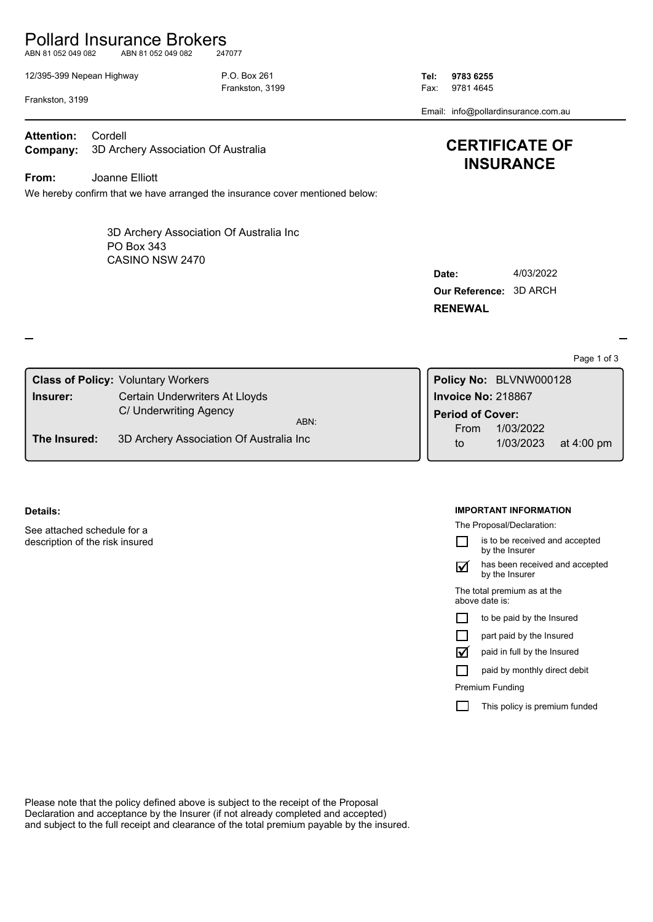# Pollard Insurance Brokers

ABN 81 052 049 082 ABN 81 052 049 082 247077

12/395-399 Nepean Highway P.O. Box 261 **Tel: 9783 6255**

Frankston, 3199 **Fax: 9781 4645** 

Email: info@pollardinsurance.com.au

**Attention:** Cordell

Frankston, 3199

**Company:** 3D Archery Association Of Australia

**From:** Joanne Elliott

We hereby confirm that we have arranged the insurance cover mentioned below:

CASINO NSW 2470 3D Archery Association Of Australia Inc PO Box 343

|  | . |  |  |  |
|--|---|--|--|--|
|  |   |  |  |  |
|  |   |  |  |  |
|  |   |  |  |  |
|  |   |  |  |  |
|  |   |  |  |  |
|  |   |  |  |  |

**CERTIFICATE OF INSURANCE**

| Date:                  | 4/03/2022 |
|------------------------|-----------|
| Our Reference: 3D ARCH |           |
| <b>RENEWAL</b>         |           |

Page 1 of 3

| <b>Class of Policy: Voluntary Workers</b> |                                            |                                         | Policy No: BLVNW000128  |                    |                      |
|-------------------------------------------|--------------------------------------------|-----------------------------------------|-------------------------|--------------------|----------------------|
|                                           | Certain Underwriters At Lloyds<br>Insurer: |                                         |                         | Invoice No: 218867 |                      |
|                                           |                                            | C/ Underwriting Agency<br>ABN:          | <b>Period of Cover:</b> |                    |                      |
|                                           |                                            |                                         | From                    | 1/03/2022          |                      |
|                                           | The Insured:                               | 3D Archery Association Of Australia Inc | to                      | 1/03/2023          | at $4:00 \text{ pm}$ |

## **Details:**

See attached schedule for a description of the risk insured

#### **IMPORTANT INFORMATION**

The Proposal/Declaration:

is to be received and accepted П by the Insurer

has been received and accepted by the Insurer  $\triangledown$ 

The total premium as at the above date is:

|  | to be paid by the Insured |
|--|---------------------------|
|--|---------------------------|

|  |  | part paid by the Insured |
|--|--|--------------------------|
|  |  |                          |

paid in full by the Insured  $\triangledown$ 

paid by monthly direct debit П

Premium Funding

 $\Box$ This policy is premium funded

Please note that the policy defined above is subject to the receipt of the Proposal Declaration and acceptance by the Insurer (if not already completed and accepted) and subject to the full receipt and clearance of the total premium payable by the insured.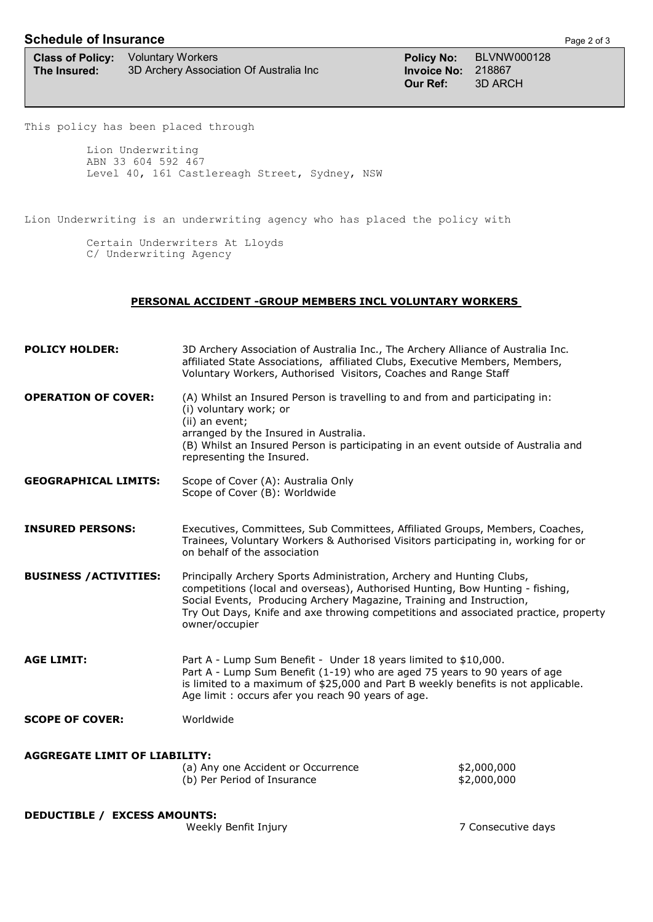## **Schedule of Insurance Page 2 of 3**

|              | <b>Class of Policy:</b> Voluntary Workers |
|--------------|-------------------------------------------|
| The Insured: | 3D Archery Association Of Australia Inc   |

**Policy No:** BLVNW000128 **The Invoice No: 218867<br>
<b>Our Ref:** 3D ARC **Our Ref:** 3D ARCH

This policy has been placed through

Lion Underwriting ABN 33 604 592 467 Level 40, 161 Castlereagh Street, Sydney, NSW

Lion Underwriting is an underwriting agency who has placed the policy with

Certain Underwriters At Lloyds C/ Underwriting Agency

## **PERSONAL ACCIDENT -GROUP MEMBERS INCL VOLUNTARY WORKERS**

| <b>POLICY HOLDER:</b>                | 3D Archery Association of Australia Inc., The Archery Alliance of Australia Inc.<br>affiliated State Associations, affiliated Clubs, Executive Members, Members,<br>Voluntary Workers, Authorised Visitors, Coaches and Range Staff                                                                                                     |                            |  |
|--------------------------------------|-----------------------------------------------------------------------------------------------------------------------------------------------------------------------------------------------------------------------------------------------------------------------------------------------------------------------------------------|----------------------------|--|
| <b>OPERATION OF COVER:</b>           | (A) Whilst an Insured Person is travelling to and from and participating in:<br>(i) voluntary work; or<br>(ii) an event;<br>arranged by the Insured in Australia.<br>(B) Whilst an Insured Person is participating in an event outside of Australia and<br>representing the Insured.                                                    |                            |  |
| <b>GEOGRAPHICAL LIMITS:</b>          | Scope of Cover (A): Australia Only<br>Scope of Cover (B): Worldwide                                                                                                                                                                                                                                                                     |                            |  |
| <b>INSURED PERSONS:</b>              | Executives, Committees, Sub Committees, Affiliated Groups, Members, Coaches,<br>Trainees, Voluntary Workers & Authorised Visitors participating in, working for or<br>on behalf of the association                                                                                                                                      |                            |  |
| <b>BUSINESS / ACTIVITIES:</b>        | Principally Archery Sports Administration, Archery and Hunting Clubs,<br>competitions (local and overseas), Authorised Hunting, Bow Hunting - fishing,<br>Social Events, Producing Archery Magazine, Training and Instruction,<br>Try Out Days, Knife and axe throwing competitions and associated practice, property<br>owner/occupier |                            |  |
| <b>AGE LIMIT:</b>                    | Part A - Lump Sum Benefit - Under 18 years limited to \$10,000.<br>Part A - Lump Sum Benefit (1-19) who are aged 75 years to 90 years of age<br>is limited to a maximum of \$25,000 and Part B weekly benefits is not applicable.<br>Age limit : occurs afer you reach 90 years of age.                                                 |                            |  |
| <b>SCOPE OF COVER:</b>               | Worldwide                                                                                                                                                                                                                                                                                                                               |                            |  |
| <b>AGGREGATE LIMIT OF LIABILITY:</b> |                                                                                                                                                                                                                                                                                                                                         |                            |  |
|                                      | (a) Any one Accident or Occurrence<br>(b) Per Period of Insurance                                                                                                                                                                                                                                                                       | \$2,000,000<br>\$2,000,000 |  |
| <b>DEDUCTIBLE / EXCESS AMOUNTS:</b>  |                                                                                                                                                                                                                                                                                                                                         |                            |  |
|                                      | Weekly Benfit Injury                                                                                                                                                                                                                                                                                                                    | 7 Consecutive days         |  |